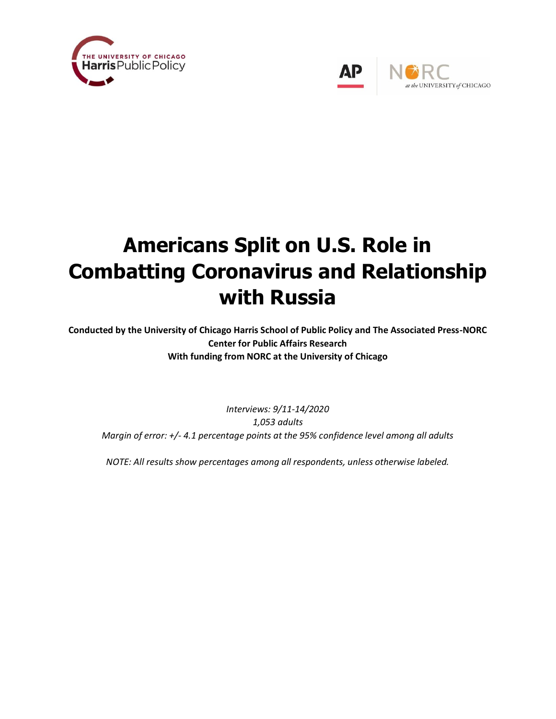



# **Americans Split on U.S. Role in Combatting Coronavirus and Relationship with Russia**

**Conducted by the University of Chicago Harris School of Public Policy and The Associated Press-NORC Center for Public Affairs Research With funding from NORC at the University of Chicago**

*Interviews: 9/11-14/2020 1,053 adults Margin of error: +/- 4.1 percentage points at the 95% confidence level among all adults*

*NOTE: All results show percentages among all respondents, unless otherwise labeled.*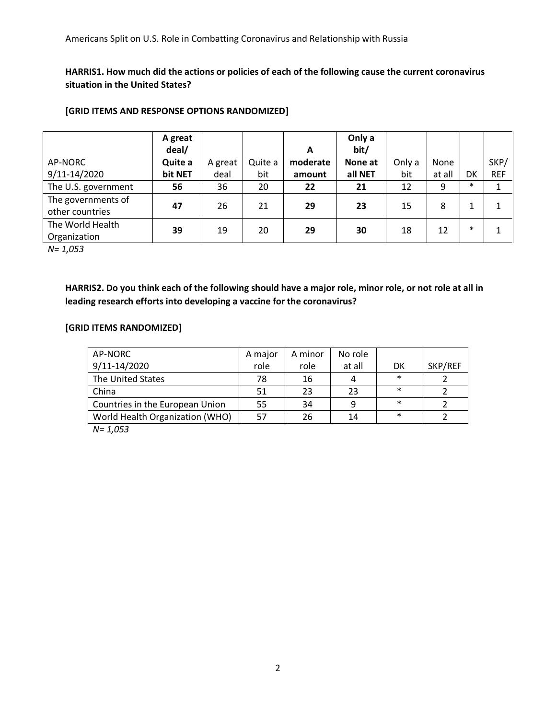**HARRIS1. How much did the actions or policies of each of the following cause the current coronavirus situation in the United States?**

#### **[GRID ITEMS AND RESPONSE OPTIONS RANDOMIZED]**

|                     | A great<br>deal/ |         |         | A        | Only a<br>bit/ |        |        |        |            |
|---------------------|------------------|---------|---------|----------|----------------|--------|--------|--------|------------|
| AP-NORC             | Quite a          | A great | Quite a | moderate | None at        | Only a | None   |        | SKP/       |
| 9/11-14/2020        | bit NET          | deal    | bit     | amount   | all NET        | bit    | at all | DK     | <b>REF</b> |
| The U.S. government | 56               | 36      | 20      | 22       | 21             | 12     | 9      | $\ast$ |            |
| The governments of  | 47               | 26      | 21      | 29       | 23             | 15     | 8      | 1      |            |
| other countries     |                  |         |         |          |                |        |        |        |            |
| The World Health    | 39               | 19      | 20      | 29       | 30             | 18     | 12     | $\ast$ |            |
| Organization        |                  |         |         |          |                |        |        |        |            |

*N= 1,053*

**HARRIS2. Do you think each of the following should have a major role, minor role, or not role at all in leading research efforts into developing a vaccine for the coronavirus?**

#### **[GRID ITEMS RANDOMIZED]**

| AP-NORC                         | A major | A minor | No role |        |         |
|---------------------------------|---------|---------|---------|--------|---------|
| 9/11-14/2020                    | role    | role    | at all  | DK     | SKP/REF |
| The United States               | 78      | 16      |         | $\ast$ |         |
| China                           | 51      | 23      | 23      | $\ast$ |         |
| Countries in the European Union | 55      | 34      | q       | $\ast$ |         |
| World Health Organization (WHO) | 57      | 26      | 14      | $\ast$ |         |
| $\mathbf{A}$ $\mathbf{A}$       |         |         |         |        |         |

*N= 1,053*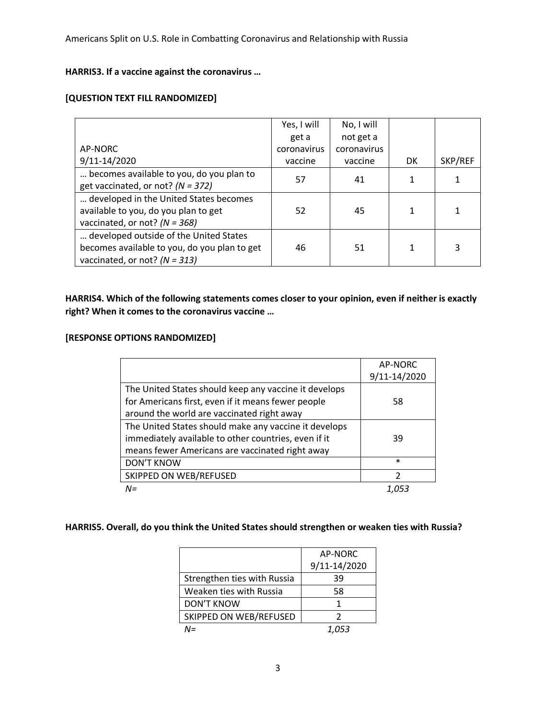# **HARRIS3. If a vaccine against the coronavirus …**

## **[QUESTION TEXT FILL RANDOMIZED]**

|                                              | Yes, I will | No, I will  |    |         |
|----------------------------------------------|-------------|-------------|----|---------|
|                                              | get a       | not get a   |    |         |
| AP-NORC                                      | coronavirus | coronavirus |    |         |
| 9/11-14/2020                                 | vaccine     | vaccine     | DK | SKP/REF |
| becomes available to you, do you plan to     | 57          | 41          | 1  |         |
| get vaccinated, or not? $(N = 372)$          |             |             |    |         |
| developed in the United States becomes       |             |             |    |         |
| available to you, do you plan to get         | 52          | 45          |    |         |
| vaccinated, or not? $(N = 368)$              |             |             |    |         |
| developed outside of the United States       |             |             |    |         |
| becomes available to you, do you plan to get | 46          | 51          |    | 3       |
| vaccinated, or not? $(N = 313)$              |             |             |    |         |

## **HARRIS4. Which of the following statements comes closer to your opinion, even if neither is exactly right? When it comes to the coronavirus vaccine …**

# **[RESPONSE OPTIONS RANDOMIZED]**

|                                                       | AP-NORC       |
|-------------------------------------------------------|---------------|
|                                                       | 9/11-14/2020  |
| The United States should keep any vaccine it develops |               |
| for Americans first, even if it means fewer people    | 58            |
| around the world are vaccinated right away            |               |
| The United States should make any vaccine it develops |               |
| immediately available to other countries, even if it  | 39            |
| means fewer Americans are vaccinated right away       |               |
| <b>DON'T KNOW</b>                                     | $\ast$        |
| SKIPPED ON WEB/REFUSED                                | $\mathfrak z$ |
| $N =$                                                 |               |

#### **HARRIS5. Overall, do you think the United States should strengthen or weaken ties with Russia?**

|                             | AP-NORC      |
|-----------------------------|--------------|
|                             | 9/11-14/2020 |
| Strengthen ties with Russia | 39           |
| Weaken ties with Russia     | 58           |
| <b>DON'T KNOW</b>           | 1            |
| SKIPPED ON WEB/REFUSED      | 2            |
| $N =$                       | 1.053        |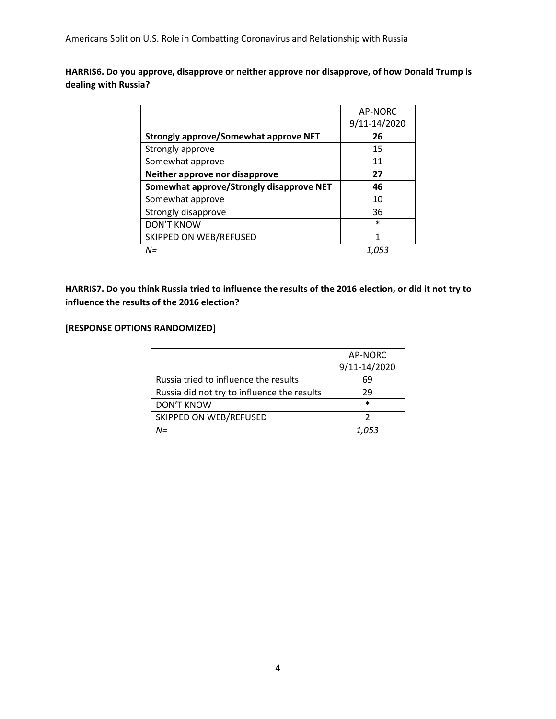**HARRIS6. Do you approve, disapprove or neither approve nor disapprove, of how Donald Trump is dealing with Russia?** 

|                                              | AP-NORC      |
|----------------------------------------------|--------------|
|                                              | 9/11-14/2020 |
| <b>Strongly approve/Somewhat approve NET</b> | 26           |
| Strongly approve                             | 15           |
| Somewhat approve                             | 11           |
| Neither approve nor disapprove               | 27           |
| Somewhat approve/Strongly disapprove NET     | 46           |
| Somewhat approve                             | 10           |
| Strongly disapprove                          | 36           |
| <b>DON'T KNOW</b>                            | $\ast$       |
| SKIPPED ON WEB/REFUSED                       | 1            |
| $N =$                                        | 1.053        |

**HARRIS7. Do you think Russia tried to influence the results of the 2016 election, or did it not try to influence the results of the 2016 election?**

#### **[RESPONSE OPTIONS RANDOMIZED]**

|                                             | AP-NORC      |
|---------------------------------------------|--------------|
|                                             | 9/11-14/2020 |
| Russia tried to influence the results       | 69           |
| Russia did not try to influence the results | 29           |
| <b>DON'T KNOW</b>                           | $\ast$       |
| SKIPPED ON WEB/REFUSED                      | າ            |
| N=                                          | 1.053        |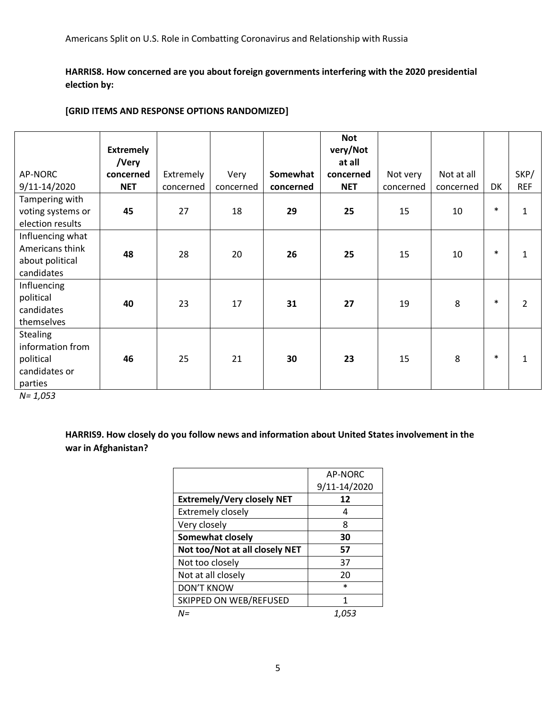**HARRIS8. How concerned are you about foreign governments interfering with the 2020 presidential election by:** 

#### **[GRID ITEMS AND RESPONSE OPTIONS RANDOMIZED]**

|                                                                              | <b>Extremely</b> |           |           |           | <b>Not</b><br>very/Not |           |            |        |                |
|------------------------------------------------------------------------------|------------------|-----------|-----------|-----------|------------------------|-----------|------------|--------|----------------|
|                                                                              | /Very            |           |           |           | at all                 |           |            |        |                |
| AP-NORC                                                                      | concerned        | Extremely | Very      | Somewhat  | concerned              | Not very  | Not at all |        | SKP/           |
| 9/11-14/2020                                                                 | <b>NET</b>       | concerned | concerned | concerned | <b>NET</b>             | concerned | concerned  | DK     | <b>REF</b>     |
| Tampering with<br>voting systems or<br>election results                      | 45               | 27        | 18        | 29        | 25                     | 15        | 10         | $\ast$ | 1              |
| Influencing what<br>Americans think<br>about political<br>candidates         | 48               | 28        | 20        | 26        | 25                     | 15        | 10         | $\ast$ | 1              |
| Influencing<br>political<br>candidates<br>themselves                         | 40               | 23        | 17        | 31        | 27                     | 19        | 8          | $\ast$ | $\overline{2}$ |
| <b>Stealing</b><br>information from<br>political<br>candidates or<br>parties | 46               | 25        | 21        | 30        | 23                     | 15        | 8          | $\ast$ | 1              |

*N= 1,053*

**HARRIS9. How closely do you follow news and information about United States involvement in the war in Afghanistan?** 

|                                   | AP-NORC      |
|-----------------------------------|--------------|
|                                   | 9/11-14/2020 |
| <b>Extremely/Very closely NET</b> | 12           |
| <b>Extremely closely</b>          | 4            |
| Very closely                      | 8            |
| Somewhat closely                  | 30           |
| Not too/Not at all closely NET    | 57           |
| Not too closely                   | 37           |
| Not at all closely                | 20           |
| <b>DON'T KNOW</b>                 | $\ast$       |
| SKIPPED ON WEB/REFUSED            | 1            |
| N=                                | 1,053        |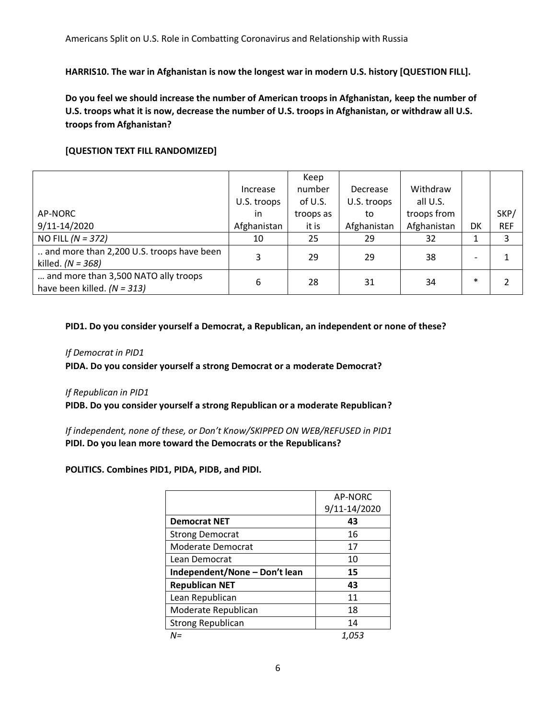**HARRIS10. The war in Afghanistan is now the longest war in modern U.S. history [QUESTION FILL].**

**Do you feel we should increase the number of American troops in Afghanistan, keep the number of U.S. troops what it is now, decrease the number of U.S. troops in Afghanistan, or withdraw all U.S. troops from Afghanistan?**

## **[QUESTION TEXT FILL RANDOMIZED]**

|                                                                       |             | Keep      |             |             |                          |            |
|-----------------------------------------------------------------------|-------------|-----------|-------------|-------------|--------------------------|------------|
|                                                                       | Increase    | number    | Decrease    | Withdraw    |                          |            |
|                                                                       | U.S. troops | of U.S.   | U.S. troops | all U.S.    |                          |            |
| AP-NORC                                                               | in          | troops as | to          | troops from |                          | SKP/       |
| 9/11-14/2020                                                          | Afghanistan | it is     | Afghanistan | Afghanistan | DK                       | <b>REF</b> |
| NO FILL $(N = 372)$                                                   | 10          | 25        | 29          | 32          | 1                        | 3          |
| and more than 2,200 U.S. troops have been<br>killed. $(N = 368)$      | 3           | 29        | 29          | 38          | $\overline{\phantom{0}}$ |            |
| and more than 3,500 NATO ally troops<br>have been killed. $(N = 313)$ | 6           | 28        | 31          | 34          | $\ast$                   |            |

#### **PID1. Do you consider yourself a Democrat, a Republican, an independent or none of these?**

#### *If Democrat in PID1*

**PIDA. Do you consider yourself a strong Democrat or a moderate Democrat?**

#### *If Republican in PID1*

**PIDB. Do you consider yourself a strong Republican or a moderate Republican?**

*If independent, none of these, or Don't Know/SKIPPED ON WEB/REFUSED in PID1* **PIDI. Do you lean more toward the Democrats or the Republicans?**

#### **POLITICS. Combines PID1, PIDA, PIDB, and PIDI.**

|                               | AP-NORC      |
|-------------------------------|--------------|
|                               | 9/11-14/2020 |
| <b>Democrat NET</b>           | 43           |
| <b>Strong Democrat</b>        | 16           |
| Moderate Democrat             | 17           |
| Lean Democrat                 | 10           |
| Independent/None - Don't lean | 15           |
| <b>Republican NET</b>         | 43           |
| Lean Republican               | 11           |
| Moderate Republican           | 18           |
| <b>Strong Republican</b>      | 14           |
| N=                            | 1.053        |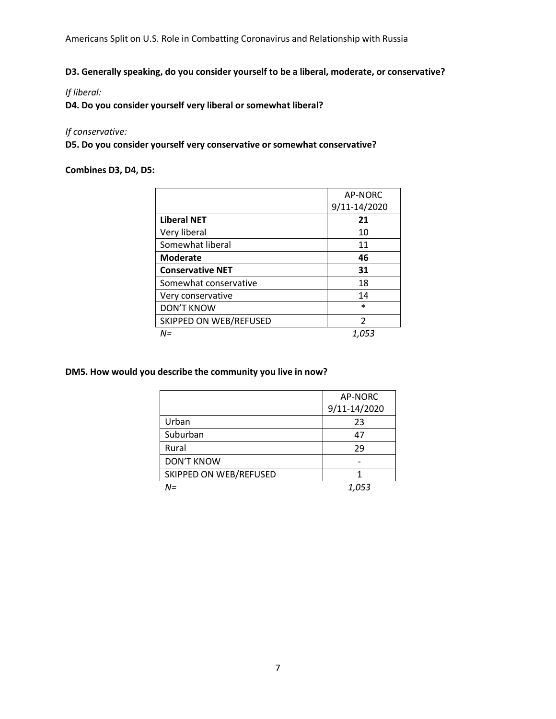Americans Split on U.S. Role in Combatting Coronavirus and Relationship with Russia

**D3. Generally speaking, do you consider yourself to be a liberal, moderate, or conservative?**

*If liberal:* 

**D4. Do you consider yourself very liberal or somewhat liberal?** 

#### *If conservative:*

**D5. Do you consider yourself very conservative or somewhat conservative?** 

**Combines D3, D4, D5:** 

|                         | AP-NORC      |
|-------------------------|--------------|
|                         | 9/11-14/2020 |
| <b>Liberal NET</b>      | 21           |
| Very liberal            | 10           |
| Somewhat liberal        | 11           |
| <b>Moderate</b>         | 46           |
| <b>Conservative NET</b> | 31           |
| Somewhat conservative   | 18           |
| Very conservative       | 14           |
| <b>DON'T KNOW</b>       | $\ast$       |
| SKIPPED ON WEB/REFUSED  | 2            |
| N=                      | 1.053        |

**DM5. How would you describe the community you live in now?**

|                        | AP-NORC      |
|------------------------|--------------|
|                        | 9/11-14/2020 |
| Urban                  | 23           |
| Suburban               | 47           |
| Rural                  | 29           |
| <b>DON'T KNOW</b>      |              |
| SKIPPED ON WEB/REFUSED |              |
| $N =$                  | 1,053        |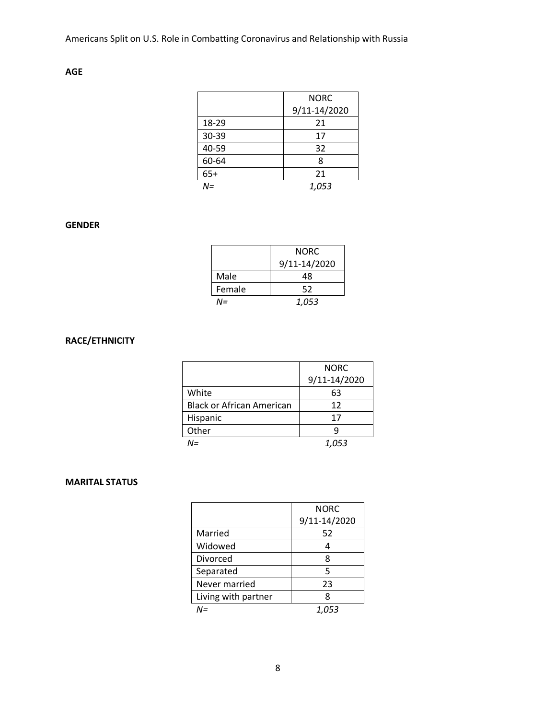# **AGE**

|       | <b>NORC</b>  |
|-------|--------------|
|       | 9/11-14/2020 |
| 18-29 | 21           |
| 30-39 | 17           |
| 40-59 | 32           |
| 60-64 | 8            |
| $65+$ | 21           |
| $N =$ | 1,053        |

# **GENDER**

|        | <b>NORC</b><br>9/11-14/2020 |
|--------|-----------------------------|
| Male   | 48                          |
| Female | 52                          |
| NΞ     | 1,053                       |

# **RACE/ETHNICITY**

|                                  | <b>NORC</b>  |
|----------------------------------|--------------|
|                                  | 9/11-14/2020 |
| White                            | 63           |
| <b>Black or African American</b> | 12           |
| Hispanic                         | 17           |
| Other                            |              |
| N=                               | 1,053        |

## **MARITAL STATUS**

|                     | <b>NORC</b>  |
|---------------------|--------------|
|                     | 9/11-14/2020 |
| Married             | 52           |
| Widowed             |              |
| Divorced            | 8            |
| Separated           | 5            |
| Never married       | 23           |
| Living with partner | 8            |
| $N =$               | 1,053        |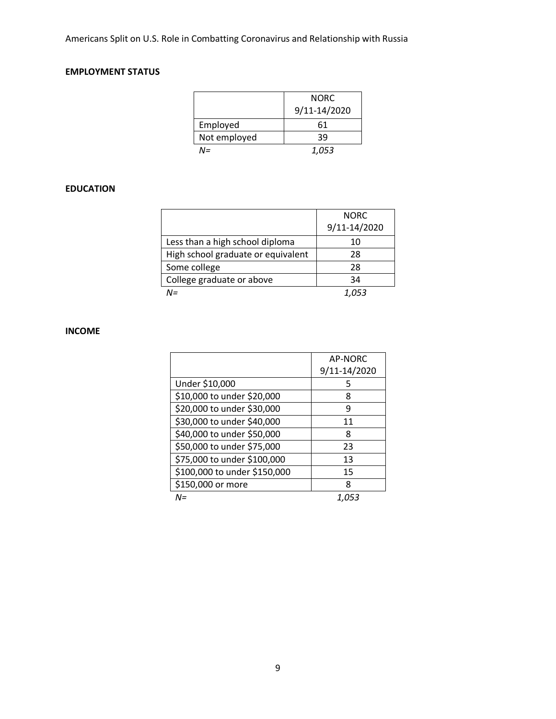# **EMPLOYMENT STATUS**

|              | <b>NORC</b><br>9/11-14/2020 |
|--------------|-----------------------------|
| Employed     | 61                          |
| Not employed | 39                          |
| NΞ           | 1,053                       |

## **EDUCATION**

|                                    | <b>NORC</b>  |
|------------------------------------|--------------|
|                                    | 9/11-14/2020 |
| Less than a high school diploma    | 10           |
| High school graduate or equivalent | 28           |
| Some college                       | 28           |
| College graduate or above          | 34           |
| N=                                 | 1.053        |

# **INCOME**

|                              | <b>AP-NORC</b> |
|------------------------------|----------------|
|                              | 9/11-14/2020   |
| Under \$10,000               | 5              |
| \$10,000 to under \$20,000   | 8              |
| \$20,000 to under \$30,000   | 9              |
| \$30,000 to under \$40,000   | 11             |
| \$40,000 to under \$50,000   | 8              |
| \$50,000 to under \$75,000   | 23             |
| \$75,000 to under \$100,000  | 13             |
| \$100,000 to under \$150,000 | 15             |
| \$150,000 or more            | 8              |
| $N =$                        | 1.053          |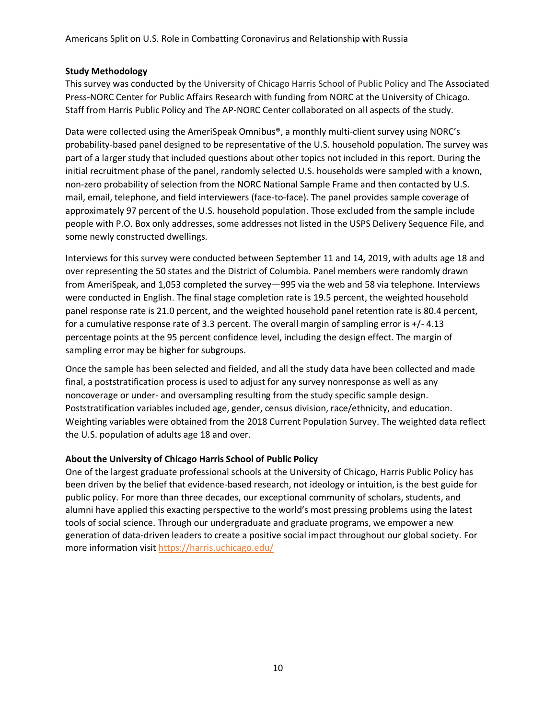## **Study Methodology**

This survey was conducted by the University of Chicago Harris School of Public Policy and The Associated Press-NORC Center for Public Affairs Research with funding from NORC at the University of Chicago. Staff from Harris Public Policy and The AP-NORC Center collaborated on all aspects of the study.

Data were collected using the AmeriSpeak Omnibus®, a monthly multi-client survey using NORC's probability-based panel designed to be representative of the U.S. household population. The survey was part of a larger study that included questions about other topics not included in this report. During the initial recruitment phase of the panel, randomly selected U.S. households were sampled with a known, non-zero probability of selection from the NORC National Sample Frame and then contacted by U.S. mail, email, telephone, and field interviewers (face-to-face). The panel provides sample coverage of approximately 97 percent of the U.S. household population. Those excluded from the sample include people with P.O. Box only addresses, some addresses not listed in the USPS Delivery Sequence File, and some newly constructed dwellings.

Interviews for this survey were conducted between September 11 and 14, 2019, with adults age 18 and over representing the 50 states and the District of Columbia. Panel members were randomly drawn from AmeriSpeak, and 1,053 completed the survey—995 via the web and 58 via telephone. Interviews were conducted in English. The final stage completion rate is 19.5 percent, the weighted household panel response rate is 21.0 percent, and the weighted household panel retention rate is 80.4 percent, for a cumulative response rate of 3.3 percent. The overall margin of sampling error is +/- 4.13 percentage points at the 95 percent confidence level, including the design effect. The margin of sampling error may be higher for subgroups.

Once the sample has been selected and fielded, and all the study data have been collected and made final, a poststratification process is used to adjust for any survey nonresponse as well as any noncoverage or under- and oversampling resulting from the study specific sample design. Poststratification variables included age, gender, census division, race/ethnicity, and education. Weighting variables were obtained from the 2018 Current Population Survey. The weighted data reflect the U.S. population of adults age 18 and over.

## **About the University of Chicago Harris School of Public Policy**

One of the largest graduate professional schools at the University of Chicago, Harris Public Policy has been driven by the belief that evidence-based research, not ideology or intuition, is the best guide for public policy. For more than three decades, our exceptional community of scholars, students, and alumni have applied this exacting perspective to the world's most pressing problems using the latest tools of social science. Through our undergraduate and graduate programs, we empower a new generation of data-driven leaders to create a positive social impact throughout our global society. For more information visi[t https://harris.uchicago.edu/](https://harris.uchicago.edu/)